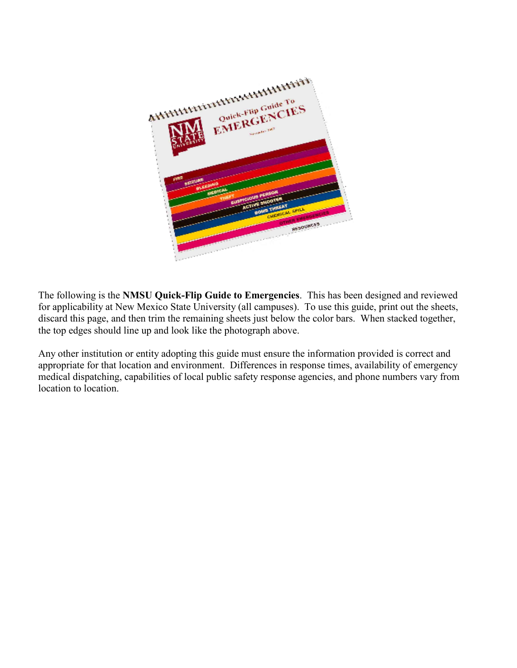

The following is the **NMSU Quick-Flip Guide to Emergencies**. This has been designed and reviewed for applicability at New Mexico State University (all campuses). To use this guide, print out the sheets, discard this page, and then trim the remaining sheets just below the color bars. When stacked together, the top edges should line up and look like the photograph above.

Any other institution or entity adopting this guide must ensure the information provided is correct and appropriate for that location and environment. Differences in response times, availability of emergency medical dispatching, capabilities of local public safety response agencies, and phone numbers vary from location to location.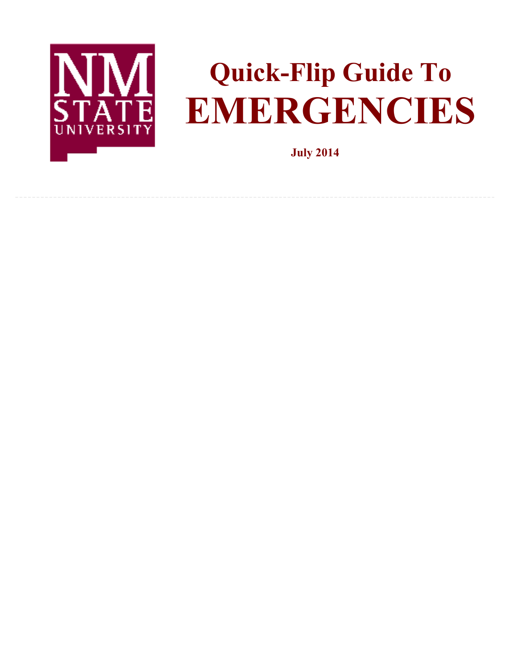

# **Quick-Flip Guide To EMERGENCIES**

**July 2014**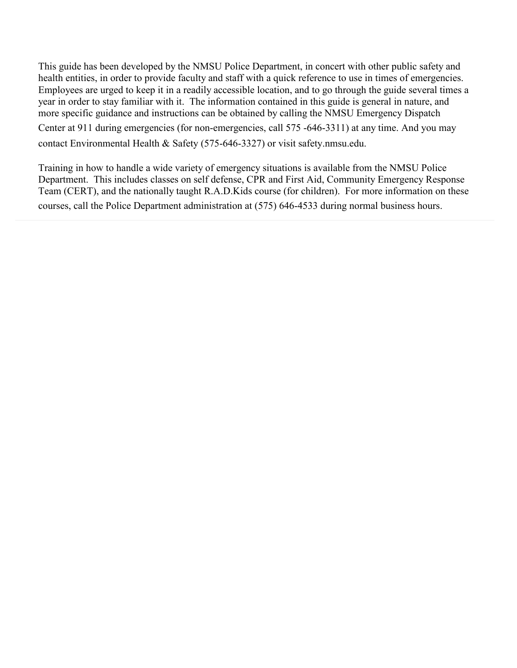This guide has been developed by the NMSU Police Department, in concert with other public safety and health entities, in order to provide faculty and staff with a quick reference to use in times of emergencies. Employees are urged to keep it in a readily accessible location, and to go through the guide several times a year in order to stay familiar with it. The information contained in this guide is general in nature, and more specific guidance and instructions can be obtained by calling the NMSU Emergency Dispatch Center at 911 during emergencies (for non-emergencies, call 575 -646-3311) at any time. And you may contact Environmental Health & Safety (575-646-3327) or visit safety.nmsu.edu.

Training in how to handle a wide variety of emergency situations is available from the NMSU Police Department. This includes classes on self defense, CPR and First Aid, Community Emergency Response Team (CERT), and the nationally taught R.A.D.Kids course (for children). For more information on these courses, call the Police Department administration at (575) 646-4533 during normal business hours.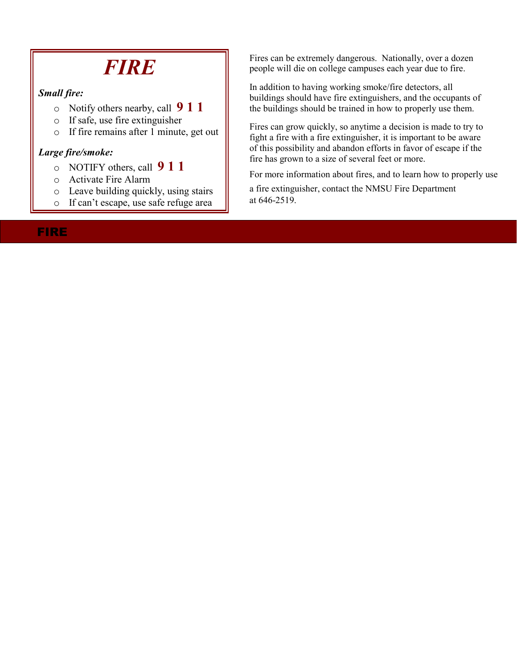# *FIRE*

#### *Small fire:*

- o Notify others nearby, call **9 1 1**
- o If safe, use fire extinguisher
- o If fire remains after 1 minute, get out

#### *Large fire/smoke:*

- o NOTIFY others, call **9 1 1**
- o Activate Fire Alarm
- o Leave building quickly, using stairs
- o If can't escape, use safe refuge area

Fires can be extremely dangerous. Nationally, over a dozen people will die on college campuses each year due to fire.

In addition to having working smoke/fire detectors, all buildings should have fire extinguishers, and the occupants of the buildings should be trained in how to properly use them.

Fires can grow quickly, so anytime a decision is made to try to fight a fire with a fire extinguisher, it is important to be aware of this possibility and abandon efforts in favor of escape if the fire has grown to a size of several feet or more.

For more information about fires, and to learn how to properly use

a fire extinguisher, contact the NMSU Fire Department at 646-2519.

### FIRE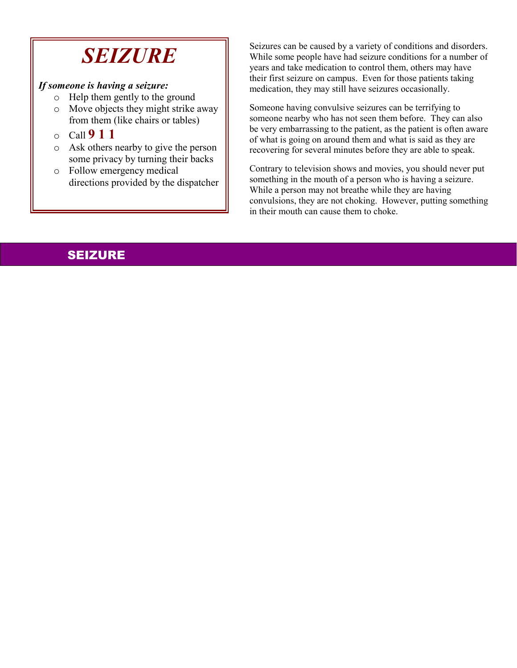# *SEIZURE*

### *If someone is having a seizure:*

- o Help them gently to the ground
- o Move objects they might strike away from them (like chairs or tables)
- o Call **9 1 1**
- o Ask others nearby to give the person some privacy by turning their backs
- o Follow emergency medical directions provided by the dispatcher

Seizures can be caused by a variety of conditions and disorders. While some people have had seizure conditions for a number of years and take medication to control them, others may have their first seizure on campus. Even for those patients taking medication, they may still have seizures occasionally.

Someone having convulsive seizures can be terrifying to someone nearby who has not seen them before. They can also be very embarrassing to the patient, as the patient is often aware of what is going on around them and what is said as they are recovering for several minutes before they are able to speak.

Contrary to television shows and movies, you should never put something in the mouth of a person who is having a seizure. While a person may not breathe while they are having convulsions, they are not choking. However, putting something in their mouth can cause them to choke.

# SEIZURE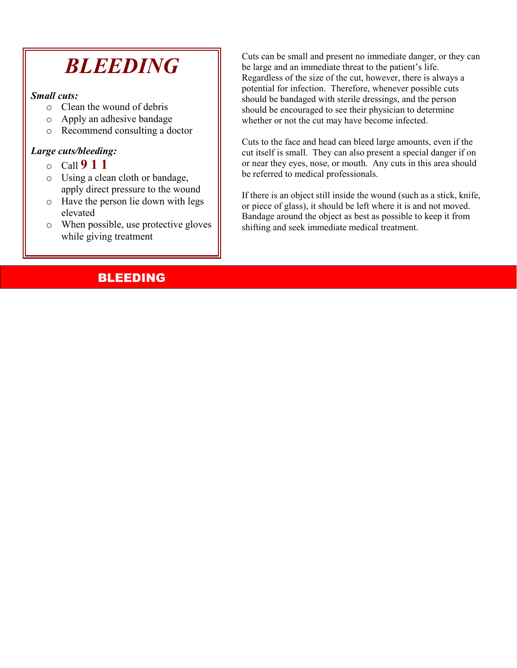# *BLEEDING*

#### *Small cuts:*

- o Clean the wound of debris
- o Apply an adhesive bandage
- o Recommend consulting a doctor

### *Large cuts/bleeding:*

- o Call **9 1 1**
- o Using a clean cloth or bandage, apply direct pressure to the wound
- o Have the person lie down with legs elevated
- o When possible, use protective gloves while giving treatment

Cuts can be small and present no immediate danger, or they can be large and an immediate threat to the patient's life. Regardless of the size of the cut, however, there is always a potential for infection. Therefore, whenever possible cuts should be bandaged with sterile dressings, and the person should be encouraged to see their physician to determine whether or not the cut may have become infected.

Cuts to the face and head can bleed large amounts, even if the cut itself is small. They can also present a special danger if on or near they eyes, nose, or mouth. Any cuts in this area should be referred to medical professionals.

If there is an object still inside the wound (such as a stick, knife, or piece of glass), it should be left where it is and not moved. Bandage around the object as best as possible to keep it from shifting and seek immediate medical treatment.

### BLEEDING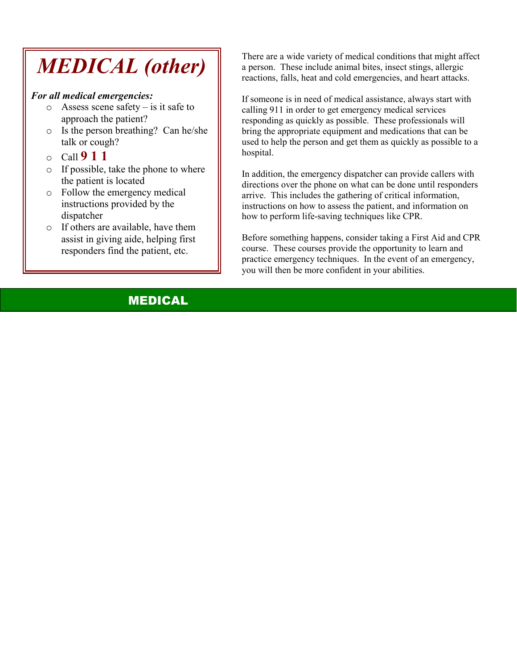# *MEDICAL (other)*

#### *For all medical emergencies:*

- $\circ$  Assess scene safety is it safe to approach the patient?
- o Is the person breathing? Can he/she talk or cough?
- o Call **9 1 1**
- o If possible, take the phone to where the patient is located
- o Follow the emergency medical instructions provided by the dispatcher
- o If others are available, have them assist in giving aide, helping first responders find the patient, etc.

There are a wide variety of medical conditions that might affect a person. These include animal bites, insect stings, allergic reactions, falls, heat and cold emergencies, and heart attacks.

If someone is in need of medical assistance, always start with calling 911 in order to get emergency medical services responding as quickly as possible. These professionals will bring the appropriate equipment and medications that can be used to help the person and get them as quickly as possible to a hospital.

In addition, the emergency dispatcher can provide callers with directions over the phone on what can be done until responders arrive. This includes the gathering of critical information, instructions on how to assess the patient, and information on how to perform life-saving techniques like CPR.

Before something happens, consider taking a First Aid and CPR course. These courses provide the opportunity to learn and practice emergency techniques. In the event of an emergency, you will then be more confident in your abilities.

## MEDICAL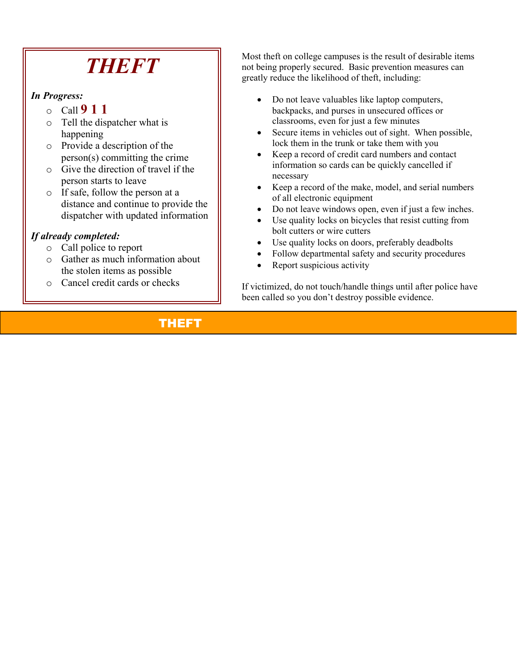# *THEFT*

*In Progress:* 

- o Call **9 1 1**
- o Tell the dispatcher what is happening
- o Provide a description of the person(s) committing the crime
- o Give the direction of travel if the person starts to leave
- o If safe, follow the person at a distance and continue to provide the dispatcher with updated information

### *If already completed:*

- o Call police to report
- o Gather as much information about the stolen items as possible
- o Cancel credit cards or checks

Most theft on college campuses is the result of desirable items not being properly secured. Basic prevention measures can greatly reduce the likelihood of theft, including:

- Do not leave valuables like laptop computers, backpacks, and purses in unsecured offices or classrooms, even for just a few minutes
- Secure items in vehicles out of sight. When possible, lock them in the trunk or take them with you
- Keep a record of credit card numbers and contact information so cards can be quickly cancelled if necessary
- Keep a record of the make, model, and serial numbers of all electronic equipment
- Do not leave windows open, even if just a few inches.
- Use quality locks on bicycles that resist cutting from bolt cutters or wire cutters
- Use quality locks on doors, preferably deadbolts
- Follow departmental safety and security procedures
- Report suspicious activity

If victimized, do not touch/handle things until after police have been called so you don't destroy possible evidence.

# THEFT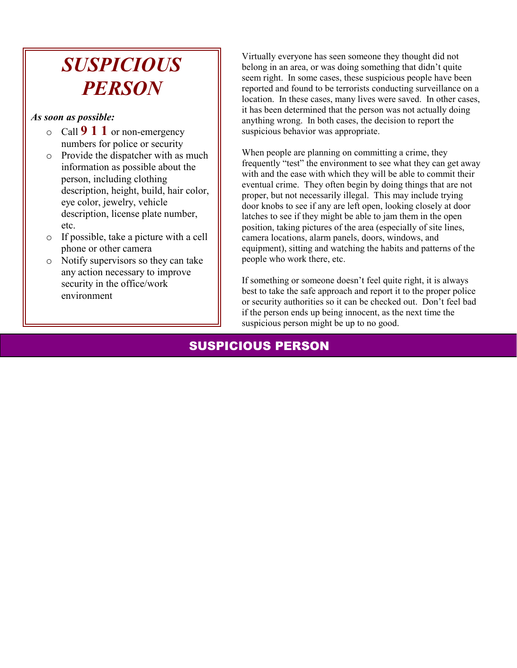# *SUSPICIOUS PERSON*

#### *As soon as possible:*

- o Call **9 1 1** or non-emergency numbers for police or security
- o Provide the dispatcher with as much information as possible about the person, including clothing description, height, build, hair color, eye color, jewelry, vehicle description, license plate number, etc.
- o If possible, take a picture with a cell phone or other camera
- o Notify supervisors so they can take any action necessary to improve security in the office/work environment

Virtually everyone has seen someone they thought did not belong in an area, or was doing something that didn't quite seem right. In some cases, these suspicious people have been reported and found to be terrorists conducting surveillance on a location. In these cases, many lives were saved. In other cases, it has been determined that the person was not actually doing anything wrong. In both cases, the decision to report the suspicious behavior was appropriate.

When people are planning on committing a crime, they frequently "test" the environment to see what they can get away with and the ease with which they will be able to commit their eventual crime. They often begin by doing things that are not proper, but not necessarily illegal. This may include trying door knobs to see if any are left open, looking closely at door latches to see if they might be able to jam them in the open position, taking pictures of the area (especially of site lines, camera locations, alarm panels, doors, windows, and equipment), sitting and watching the habits and patterns of the people who work there, etc.

If something or someone doesn't feel quite right, it is always best to take the safe approach and report it to the proper police or security authorities so it can be checked out. Don't feel bad if the person ends up being innocent, as the next time the suspicious person might be up to no good.

## SUSPICIOUS PERSON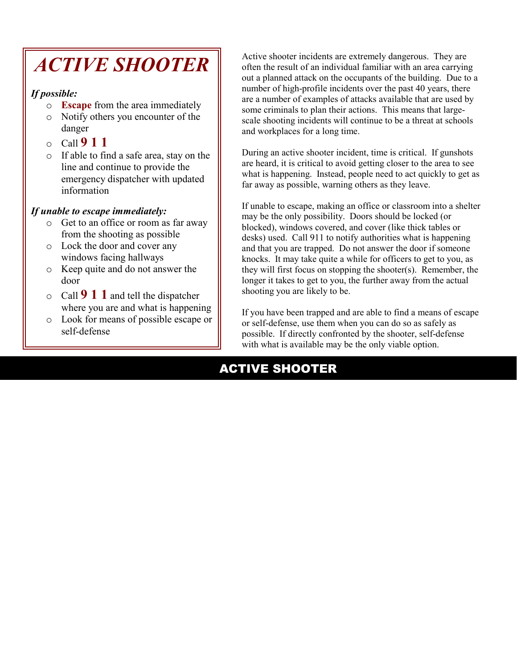# *ACTIVE SHOOTER*

### *If possible:*

- o **Escape** from the area immediately
- o Notify others you encounter of the danger
- o Call **9 1 1**
- o If able to find a safe area, stay on the line and continue to provide the emergency dispatcher with updated information

### *If unable to escape immediately:*

- o Get to an office or room as far away from the shooting as possible
- o Lock the door and cover any windows facing hallways
- o Keep quite and do not answer the door
- o Call **9 1 1** and tell the dispatcher where you are and what is happening
- o Look for means of possible escape or self-defense

Active shooter incidents are extremely dangerous. They are often the result of an individual familiar with an area carrying out a planned attack on the occupants of the building. Due to a number of high-profile incidents over the past 40 years, there are a number of examples of attacks available that are used by some criminals to plan their actions. This means that largescale shooting incidents will continue to be a threat at schools and workplaces for a long time.

During an active shooter incident, time is critical. If gunshots are heard, it is critical to avoid getting closer to the area to see what is happening. Instead, people need to act quickly to get as far away as possible, warning others as they leave.

If unable to escape, making an office or classroom into a shelter may be the only possibility. Doors should be locked (or blocked), windows covered, and cover (like thick tables or desks) used. Call 911 to notify authorities what is happening and that you are trapped. Do not answer the door if someone knocks. It may take quite a while for officers to get to you, as they will first focus on stopping the shooter(s). Remember, the longer it takes to get to you, the further away from the actual shooting you are likely to be.

If you have been trapped and are able to find a means of escape or self-defense, use them when you can do so as safely as possible. If directly confronted by the shooter, self-defense with what is available may be the only viable option.

# ACTIVE SHOOTER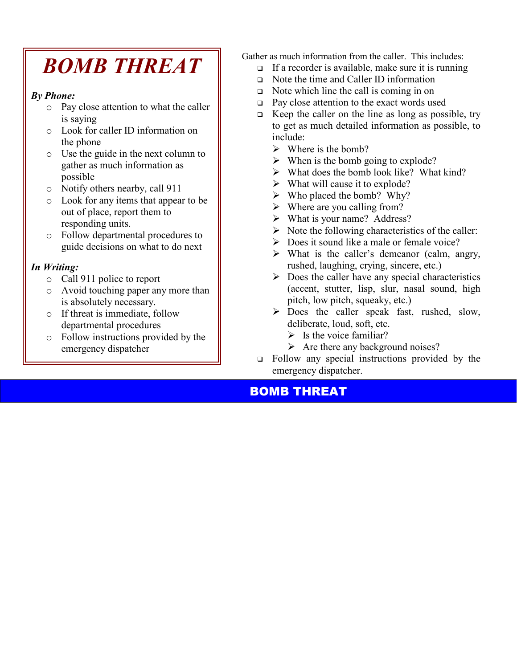# *BOMB THREAT*

### *By Phone:*

- o Pay close attention to what the caller is saying
- o Look for caller ID information on the phone
- o Use the guide in the next column to gather as much information as possible
- o Notify others nearby, call 911
- o Look for any items that appear to be out of place, report them to responding units.
- o Follow departmental procedures to guide decisions on what to do next

### *In Writing:*

- o Call 911 police to report
- o Avoid touching paper any more than is absolutely necessary.
- o If threat is immediate, follow departmental procedures
- o Follow instructions provided by the emergency dispatcher

Gather as much information from the caller. This includes:

- $\Box$  If a recorder is available, make sure it is running
- Note the time and Caller ID information
- $\Box$  Note which line the call is coming in on
- $\Box$  Pay close attention to the exact words used
- $\Box$  Keep the caller on the line as long as possible, try to get as much detailed information as possible, to include:
	- $\triangleright$  Where is the bomb?
	- $\triangleright$  When is the bomb going to explode?
	- $\triangleright$  What does the bomb look like? What kind?
	- $\triangleright$  What will cause it to explode?
	- $\triangleright$  Who placed the bomb? Why?
	- $\triangleright$  Where are you calling from?
	- $\triangleright$  What is your name? Address?
	- $\triangleright$  Note the following characteristics of the caller:
	- $\triangleright$  Does it sound like a male or female voice?
	- $\triangleright$  What is the caller's demeanor (calm, angry, rushed, laughing, crying, sincere, etc.)
	- $\triangleright$  Does the caller have any special characteristics (accent, stutter, lisp, slur, nasal sound, high pitch, low pitch, squeaky, etc.)
	- > Does the caller speak fast, rushed, slow, deliberate, loud, soft, etc.
		- $\triangleright$  Is the voice familiar?
		- $\triangleright$  Are there any background noises?
- Follow any special instructions provided by the emergency dispatcher.

### BOMB THREAT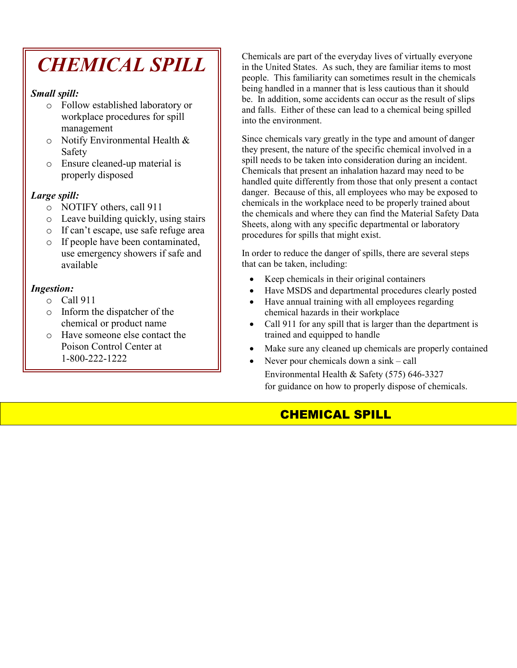# *CHEMICAL SPILL*

#### *Small spill:*

- o Follow established laboratory or workplace procedures for spill management
- o Notify Environmental Health & Safety
- o Ensure cleaned-up material is properly disposed

#### *Large spill:*

- o NOTIFY others, call 911
- o Leave building quickly, using stairs
- o If can't escape, use safe refuge area
- o If people have been contaminated, use emergency showers if safe and available

### *Ingestion:*

- o Call 911
- o Inform the dispatcher of the chemical or product name
- o Have someone else contact the Poison Control Center at 1-800-222-1222

Chemicals are part of the everyday lives of virtually everyone in the United States. As such, they are familiar items to most people. This familiarity can sometimes result in the chemicals being handled in a manner that is less cautious than it should be. In addition, some accidents can occur as the result of slips and falls. Either of these can lead to a chemical being spilled into the environment.

Since chemicals vary greatly in the type and amount of danger they present, the nature of the specific chemical involved in a spill needs to be taken into consideration during an incident. Chemicals that present an inhalation hazard may need to be handled quite differently from those that only present a contact danger. Because of this, all employees who may be exposed to chemicals in the workplace need to be properly trained about the chemicals and where they can find the Material Safety Data Sheets, along with any specific departmental or laboratory procedures for spills that might exist.

In order to reduce the danger of spills, there are several steps that can be taken, including:

- Keep chemicals in their original containers
- Have MSDS and departmental procedures clearly posted
- Have annual training with all employees regarding chemical hazards in their workplace
- Call 911 for any spill that is larger than the department is trained and equipped to handle
- Make sure any cleaned up chemicals are properly contained
- Never pour chemicals down a sink call

Environmental Health & Safety (575) 646-3327 for guidance on how to properly dispose of chemicals.

# CHEMICAL SPILL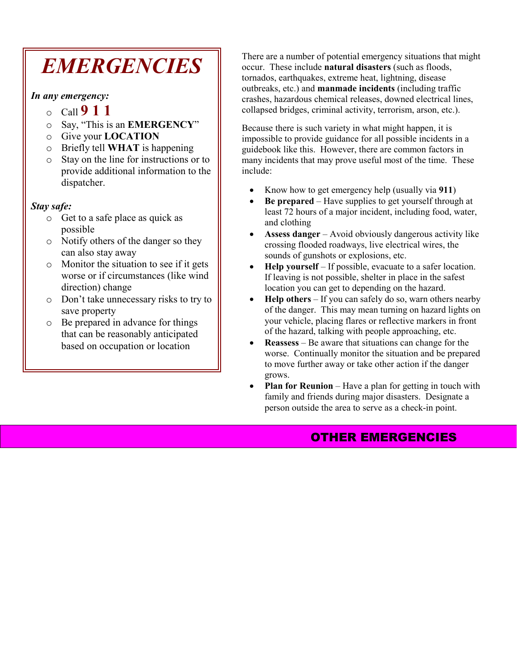# *EMERGENCIES*

*In any emergency:*

- <sup>o</sup>Call **9 1 1**
- o Say, "This is an **EMERGENCY**"
- o Give your **LOCATION**
- o Briefly tell **WHAT** is happening
- o Stay on the line for instructions or to provide additional information to the dispatcher.

#### *Stay safe:*

- o Get to a safe place as quick as possible
- o Notify others of the danger so they can also stay away
- o Monitor the situation to see if it gets worse or if circumstances (like wind direction) change
- o Don't take unnecessary risks to try to save property
- o Be prepared in advance for things that can be reasonably anticipated based on occupation or location

There are a number of potential emergency situations that might occur. These include **natural disasters** (such as floods, tornados, earthquakes, extreme heat, lightning, disease outbreaks, etc.) and **manmade incidents** (including traffic crashes, hazardous chemical releases, downed electrical lines, collapsed bridges, criminal activity, terrorism, arson, etc.).

Because there is such variety in what might happen, it is impossible to provide guidance for all possible incidents in a guidebook like this. However, there are common factors in many incidents that may prove useful most of the time. These include:

- Know how to get emergency help (usually via **911**)
- **Be prepared** Have supplies to get yourself through at least 72 hours of a major incident, including food, water, and clothing
- **Assess danger** Avoid obviously dangerous activity like crossing flooded roadways, live electrical wires, the sounds of gunshots or explosions, etc.
- **Help yourself** If possible, evacuate to a safer location. If leaving is not possible, shelter in place in the safest location you can get to depending on the hazard.
- **Help others** If you can safely do so, warn others nearby of the danger. This may mean turning on hazard lights on your vehicle, placing flares or reflective markers in front of the hazard, talking with people approaching, etc.
- **Reassess** Be aware that situations can change for the worse. Continually monitor the situation and be prepared to move further away or take other action if the danger grows.
- **Plan for Reunion** Have a plan for getting in touch with family and friends during major disasters. Designate a person outside the area to serve as a check-in point.

### OTHER EMERGENCIES